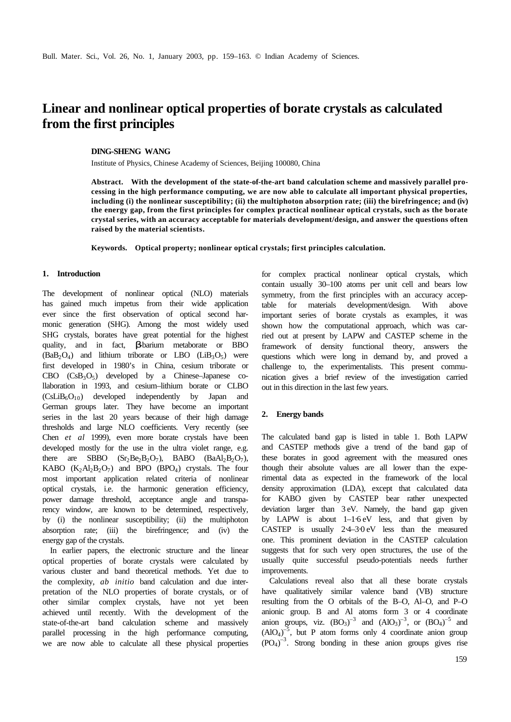# **Linear and nonlinear optical properties of borate crystals as calculated from the first principles**

#### **DING-SHENG WANG**

Institute of Physics, Chinese Academy of Sciences, Beijing 100080, China

**Abstract. With the development of the state-of-the-art band calculation scheme and massively parallel processing in the high performance computing, we are now able to calculate all important physical properties, including (i) the nonlinear susceptibility; (ii) the multiphoton absorption rate; (iii) the birefringence; and (iv) the energy gap, from the first principles for complex practical nonlinear optical crystals, such as the borate crystal series, with an accuracy acceptable for materials development/design, and answer the questions often raised by the material scientists.**

**Keywords. Optical property; nonlinear optical crystals; first principles calculation.**

#### **1. Introduction**

The development of nonlinear optical (NLO) materials has gained much impetus from their wide application ever since the first observation of optical second harmonic generation (SHG). Among the most widely used SHG crystals, borates have great potential for the highest quality, and in fact, **b**-barium metaborate or BBO  $(BaB<sub>2</sub>O<sub>4</sub>)$  and lithium triborate or LBO (LiB<sub>3</sub>O<sub>5</sub>) were first developed in 1980's in China, cesium triborate or  $\text{CBO}$   $(\text{CsB}_3\text{O}_5)$  developed by a Chinese–Japanese collaboration in 1993, and cesium–lithium borate or CLBO  $(CsLiB<sub>6</sub>O<sub>10</sub>)$  developed independently by Japan and German groups later. They have become an important series in the last 20 years because of their high damage thresholds and large NLO coefficients. Very recently (see Chen *et al* 1999), even more borate crystals have been developed mostly for the use in the ultra violet range, e.g. there are SBBO  $(Sr_2Be_2B_2O_7)$ , BABO  $(BaAl_2B_2O_7)$ , KABO  $(K_2Al_2B_2O_7)$  and BPO (BPO<sub>4</sub>) crystals. The four most important application related criteria of nonlinear optical crystals, i.e. the harmonic generation efficiency, power damage threshold, acceptance angle and transparency window, are known to be determined, respectively, by (i) the nonlinear susceptibility; (ii) the multiphoton absorption rate; (iii) the birefringence; and (iv) the energy gap of the crystals.

In earlier papers, the electronic structure and the linear optical properties of borate crystals were calculated by various cluster and band theoretical methods. Yet due to the complexity, *ab initio* band calculation and due interpretation of the NLO properties of borate crystals, or of other similar complex crystals, have not yet been achieved until recently. With the development of the state-of-the-art band calculation scheme and massively parallel processing in the high performance computing, we are now able to calculate all these physical properties

for complex practical nonlinear optical crystals, which contain usually 30–100 atoms per unit cell and bears low symmetry, from the first principles with an accuracy acceptable for materials development/design. With above important series of borate crystals as examples, it was shown how the computational approach, which was carried out at present by LAPW and CASTEP scheme in the framework of density functional theory, answers the questions which were long in demand by, and proved a challenge to, the experimentalists. This present communication gives a brief review of the investigation carried out in this direction in the last few years.

## **2. Energy bands**

The calculated band gap is listed in table 1. Both LAPW and CASTEP methods give a trend of the band gap of these borates in good agreement with the measured ones though their absolute values are all lower than the experimental data as expected in the framework of the local density approximation (LDA), except that calculated data for KABO given by CASTEP bear rather unexpected deviation larger than 3 eV. Namely, the band gap given by LAPW is about 1–1⋅6 eV less, and that given by CASTEP is usually 2⋅4–3⋅0 eV less than the measured one. This prominent deviation in the CASTEP calculation suggests that for such very open structures, the use of the usually quite successful pseudo-potentials needs further improvements.

Calculations reveal also that all these borate crystals have qualitatively similar valence band (VB) structure resulting from the O orbitals of the B–O, Al–O, and P–O anionic group. B and Al atoms form 3 or 4 coordinate anion groups, viz.  $(BO_3)^{-3}$  and  $(AIO_3)^{-3}$ , or  $(BO_4)^{-5}$  and  $(AIO<sub>4</sub>)<sup>-5</sup>$ , but P atom forms only 4 coordinate anion group  $(PO<sub>4</sub>)<sup>-3</sup>$ . Strong bonding in these anion groups gives rise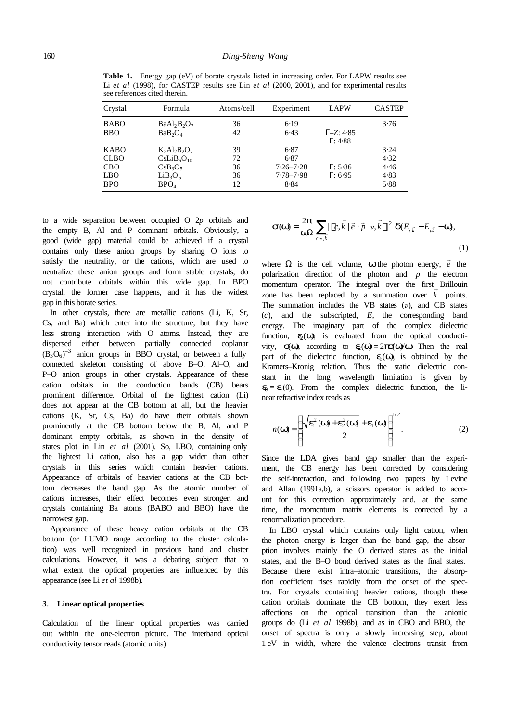Table 1. Energy gap (eV) of borate crystals listed in increasing order. For LAPW results see Li *et al* (1998), for CASTEP results see Lin *et al* (2000, 2001), and for experimental results see references cited therein.

| Crystal                                         | Formula                                                                                                | Atoms/cell           | Experiment                                     | <b>LAPW</b>                        | <b>CASTEP</b>                |
|-------------------------------------------------|--------------------------------------------------------------------------------------------------------|----------------------|------------------------------------------------|------------------------------------|------------------------------|
| <b>BABO</b><br><b>BBO</b>                       | $BaAl_2B_2O_7$<br>BaB <sub>2</sub> O <sub>4</sub>                                                      | 36<br>42             | 6.19<br>6.43                                   | $T-Z: 4.85$<br>$\Gamma$ : 4.88     | 3.76                         |
| KABO<br><b>CLBO</b><br><b>CBO</b><br><b>LBO</b> | $K_2Al_2B_2O_7$<br>CsLiB <sub>6</sub> O <sub>10</sub><br>$CsB_3O_5$<br>LiB <sub>3</sub> O <sub>5</sub> | 39<br>72<br>36<br>36 | 6.87<br>6.87<br>$7.26 - 7.28$<br>$7.78 - 7.98$ | $\Gamma$ : 5.86<br>$\Gamma$ : 6.95 | 3.24<br>4.32<br>4.46<br>4.83 |
| <b>BPO</b>                                      | BPO <sub>4</sub>                                                                                       | 12                   | 8.84                                           |                                    | 5.88                         |

to a wide separation between occupied O 2*p* orbitals and the empty B, Al and P dominant orbitals. Obviously, a good (wide gap) material could be achieved if a crystal contains only these anion groups by sharing O ions to satisfy the neutrality, or the cations, which are used to neutralize these anion groups and form stable crystals, do not contribute orbitals within this wide gap. In BPO crystal, the former case happens, and it has the widest gap in this borate series.

In other crystals, there are metallic cations (Li, K, Sr, Cs, and Ba) which enter into the structure, but they have less strong interaction with O atoms. Instead, they are dispersed either between partially connected coplanar  $(B_3O_6)^{-3}$  anion groups in BBO crystal, or between a fully connected skeleton consisting of above B–O, Al–O, and P–O anion groups in other crystals. Appearance of these cation orbitals in the conduction bands (CB) bears prominent difference. Orbital of the lightest cation (Li) does not appear at the CB bottom at all, but the heavier cations (K, Sr, Cs, Ba) do have their orbitals shown prominently at the CB bottom below the B, Al, and P dominant empty orbitals, as shown in the density of states plot in Lin *et al* (2001). So, LBO, containing only the lightest Li cation, also has a gap wider than other crystals in this series which contain heavier cations. Appearance of orbitals of heavier cations at the CB bottom decreases the band gap. As the atomic number of cations increases, their effect becomes even stronger, and crystals containing Ba atoms (BABO and BBO) have the narrowest gap.

Appearance of these heavy cation orbitals at the CB bottom (or LUMO range according to the cluster calculation) was well recognized in previous band and cluster calculations. However, it was a debating subject that to what extent the optical properties are influenced by this appearance (see Li *et al* 1998b).

## **3. Linear optical properties**

Calculation of the linear optical properties was carried out within the one-electron picture. The interband optical conductivity tensor reads (atomic units)

$$
\boldsymbol{S}(\boldsymbol{w}) = \frac{2\boldsymbol{p}}{\boldsymbol{w}\Omega} \sum_{c,v,\vec{k}} |\langle c,\vec{k}| |\vec{e} \cdot \vec{p} | v,\vec{k} \rangle|^2 \boldsymbol{d}(E_{c\vec{k}} - E_{v\vec{k}} - \boldsymbol{w}),
$$
\n(1)

where  $\Omega$  is the cell volume, **w** the photon energy,  $\vec{e}$  the polarization direction of the photon and  $\vec{p}$  the electron momentum operator. The integral over the first Brillouin zone has been replaced by a summation over  $k$  points. The summation includes the VB states  $(v)$ , and CB states (*c*), and the subscripted, *E*, the corresponding band energy. The imaginary part of the complex dielectric function,  $\mathbf{e}(\mathbf{w})$ , is evaluated from the optical conductivity, **s**(*w*), according to  $e(w) = 2p$ s(*w*)/*w* Then the real part of the dielectric function,  $\mathbf{e}(\mathbf{w})$ , is obtained by the Kramers–Kronig relation. Thus the static dielectric constant in the long wavelength limitation is given by  $\mathbf{e}_0 = \mathbf{e}_1(0)$ . From the complex dielectric function, the linear refractive index reads as

$$
n(\mathbf{w}) = \left(\frac{\sqrt{\mathbf{e}_1^2(\mathbf{w}) + \mathbf{e}_2^2(\mathbf{w})} + \mathbf{e}_1(\mathbf{w})}{2}\right)^{1/2}.
$$
 (2)

Since the LDA gives band gap smaller than the experiment, the CB energy has been corrected by considering the self-interaction, and following two papers by Levine and Allan (1991a,b), a scissors operator is added to account for this correction approximately and, at the same time, the momentum matrix elements is corrected by a renormalization procedure.

In LBO crystal which contains only light cation, when the photon energy is larger than the band gap, the absorption involves mainly the O derived states as the initial states, and the B–O bond derived states as the final states. Because there exist intra–atomic transitions, the absorption coefficient rises rapidly from the onset of the spectra. For crystals containing heavier cations, though these cation orbitals dominate the CB bottom, they exert less affections on the optical transition than the anionic groups do (Li *et al* 1998b), and as in CBO and BBO, the onset of spectra is only a slowly increasing step, about 1 eV in width, where the valence electrons transit from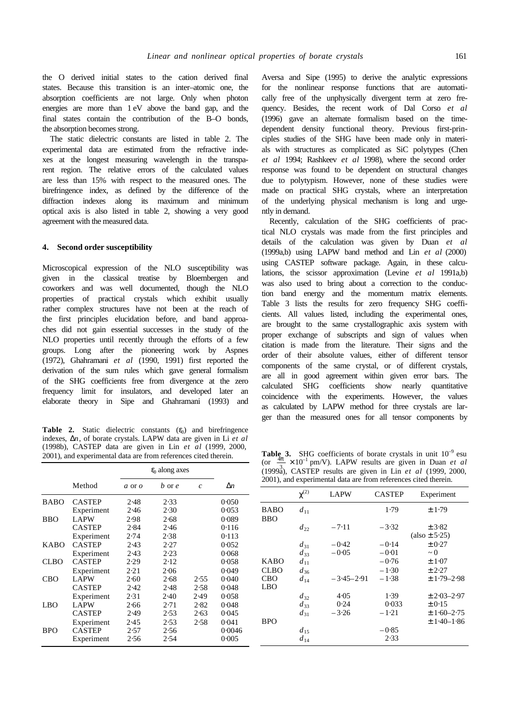the O derived initial states to the cation derived final states. Because this transition is an inter–atomic one, the absorption coefficients are not large. Only when photon energies are more than 1 eV above the band gap, and the final states contain the contribution of the B–O bonds, the absorption becomes strong.

The static dielectric constants are listed in table 2. The experimental data are estimated from the refractive indexes at the longest measuring wavelength in the transparent region. The relative errors of the calculated values are less than 15% with respect to the measured ones. The birefringence index, as defined by the difference of the diffraction indexes along its maximum and minimum optical axis is also listed in table 2, showing a very good agreement with the measured data.

# **4. Second order susceptibility**

Microscopical expression of the NLO susceptibility was given in the classical treatise by Bloembergen and coworkers and was well documented, though the NLO properties of practical crystals which exhibit usually rather complex structures have not been at the reach of the first principles elucidation before, and band approaches did not gain essential successes in the study of the NLO properties until recently through the efforts of a few groups. Long after the pioneering work by Aspnes (1972), Ghahramani *et al* (1990, 1991) first reported the derivation of the sum rules which gave general formalism of the SHG coefficients free from divergence at the zero frequency limit for insulators, and developed later an elaborate theory in Sipe and Ghahramani (1993) and

**Table 2.** Static dielectric constants  $(\mathbf{e}_0)$  and birefringence indexes, Δ*n*, of borate crystals. LAPW data are given in Li *et al* (1998b), CASTEP data are given in Lin *et al* (1999, 2000, 2001), and experimental data are from references cited therein.

|             |               | $\mathbf{e}_0$ along axes |        |               |        |
|-------------|---------------|---------------------------|--------|---------------|--------|
|             | Method        | a or o                    | b or e | $\mathcal{C}$ | Δn     |
| <b>BABO</b> | <b>CASTEP</b> | 2.48                      | 2.33   |               | 0.050  |
|             | Experiment    | 2.46                      | 2.30   |               | 0.053  |
| <b>BBO</b>  | <b>LAPW</b>   | 2.98                      | 2.68   |               | 0.089  |
|             | <b>CASTEP</b> | 2.84                      | 2.46   |               | 0.116  |
|             | Experiment    | 2.74                      | 2.38   |               | 0.113  |
| <b>KABO</b> | <b>CASTEP</b> | 2.43                      | 2.27   |               | 0.052  |
|             | Experiment    | 2.43                      | 2.23   |               | 0.068  |
| <b>CLBO</b> | <b>CASTEP</b> | 2.29                      | 2.12   |               | 0.058  |
|             | Experiment    | 2.21                      | 2.06   |               | 0.049  |
| CBO         | <b>LAPW</b>   | 2.60                      | 2.68   | 2.55          | 0.040  |
|             | <b>CASTEP</b> | 2.42                      | 2.48   | 2.58          | 0.048  |
|             | Experiment    | 2.31                      | 2.40   | 2.49          | 0.058  |
| LBO         | <b>LAPW</b>   | 2.66                      | 2.71   | 2.82          | 0.048  |
|             | <b>CASTEP</b> | 2.49                      | 2.53   | 2.63          | 0.045  |
|             | Experiment    | 2.45                      | 2.53   | 2.58          | 0.041  |
| <b>BPO</b>  | <b>CASTEP</b> | 2.57                      | 2.56   |               | 0.0046 |
|             | Experiment    | 2.56                      | 2.54   |               | 0.005  |

Aversa and Sipe (1995) to derive the analytic expressions for the nonlinear response functions that are automatically free of the unphysically divergent term at zero frequency. Besides, the recent work of Dal Corso *et al* (1996) gave an alternate formalism based on the timedependent density functional theory. Previous first-principles studies of the SHG have been made only in materials with structures as complicated as SiC polytypes (Chen *et al* 1994; Rashkeev *et al* 1998), where the second order response was found to be dependent on structural changes due to polytypism. However, none of these studies were made on practical SHG crystals, where an interpretation of the underlying physical mechanism is long and urgently in demand.

Recently, calculation of the SHG coefficients of practical NLO crystals was made from the first principles and details of the calculation was given by Duan *et al* (1999a,b) using LAPW band method and Lin *et al* (2000) using CASTEP software package. Again, in these calculations, the scissor approximation (Levine *et al* 1991a,b) was also used to bring about a correction to the conduction band energy and the momentum matrix elements. Table 3 lists the results for zero frequency SHG coefficients. All values listed, including the experimental ones, are brought to the same crystallographic axis system with proper exchange of subscripts and sign of values when citation is made from the literature. Their signs and the order of their absolute values, either of different tensor components of the same crystal, or of different crystals, are all in good agreement within given error bars. The calculated SHG coefficients show nearly quantitative coincidence with the experiments. However, the values as calculated by LAPW method for three crystals are larger than the measured ones for all tensor components by

**Table 3.** SHG coefficients of borate crystals in unit  $10^{-9}$  esu (or  $\frac{4p}{\lambda} \times 10^{-1}$  pm/V). LAPW results are given in Duan *et al* 3 (1999a), CASTEP results are given in Lin *et al* (1999, 2000, 2001), and experimental data are from references cited therein.

|             | $\mathbf{r}^{(2)}$ | <b>LAPW</b>    | <b>CASTEP</b> | Experiment        |
|-------------|--------------------|----------------|---------------|-------------------|
|             |                    |                |               |                   |
| <b>BABO</b> | $d_{11}$           |                | 1.79          | ± 1.79            |
| <b>BBO</b>  |                    |                |               |                   |
|             | $d_{22}$           | $-7.11$        | $-3.32$       | ± 3.82            |
|             |                    |                |               | $(also \pm 5.25)$ |
|             | $d_{31}$           | $-0.42$        | $-0.14$       | ± 0.27            |
|             | $d_{33}$           | $-0.05$        | $-0.01$       | $\sim$ 0          |
| KABO        | $d_{11}$           |                | $-0.76$       | ±1.07             |
| <b>CLBO</b> | $d_{36}$           |                | $-1.30$       | ± 2.27            |
| CBO         | $d_{14}$           | $-3.45 - 2.91$ | $-1.38$       | $± 1.79 - 2.98$   |
| LBO         |                    |                |               |                   |
|             | $d_{32}$           | 4.05           | 1.39          | $± 2.03 - 2.97$   |
|             | $d_{33}$           | 0.24           | 0.033         | ± 0.15            |
|             | $d_{31}$           | $-3.26$        | $-1.21$       | $\pm 1.60 - 2.75$ |
| <b>BPO</b>  |                    |                |               | $± 1.40 - 1.86$   |
|             | $d_{15}$           |                | $-0.85$       |                   |
|             | $d_{14}$           |                | 2.33          |                   |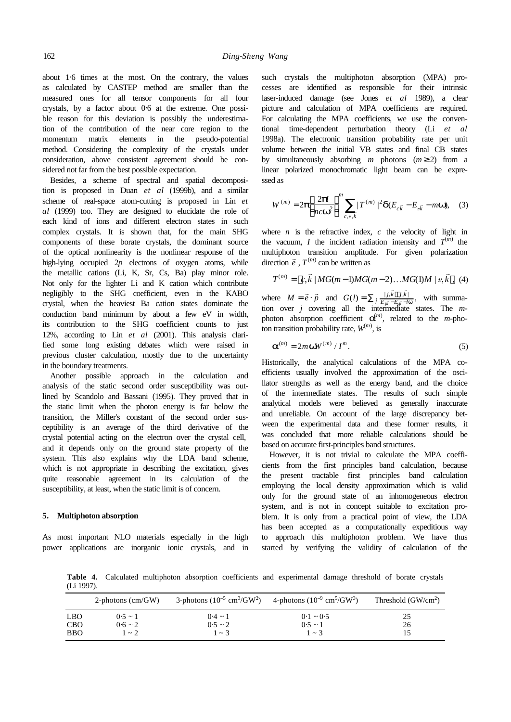about 1⋅6 times at the most. On the contrary, the values as calculated by CASTEP method are smaller than the measured ones for all tensor components for all four crystals, by a factor about 0⋅6 at the extreme. One possible reason for this deviation is possibly the underestimation of the contribution of the near core region to the momentum matrix elements in the pseudo-potential method. Considering the complexity of the crystals under consideration, above consistent agreement should be considered not far from the best possible expectation.

Besides, a scheme of spectral and spatial decomposition is proposed in Duan *et al* (1999b), and a similar scheme of real-space atom-cutting is proposed in Lin *et al* (1999) too. They are designed to elucidate the role of each kind of ions and different electron states in such complex crystals. It is shown that, for the main SHG components of these borate crystals, the dominant source of the optical nonlinearity is the nonlinear response of the high-lying occupied 2*p* electrons of oxygen atoms, while the metallic cations (Li, K, Sr, Cs, Ba) play minor role. Not only for the lighter Li and K cation which contribute negligibly to the SHG coefficient, even in the KABO crystal, when the heaviest Ba cation states dominate the conduction band minimum by about a few eV in width, its contribution to the SHG coefficient counts to just 12%, according to Lin *et al* (2001). This analysis clarified some long existing debates which were raised in previous cluster calculation, mostly due to the uncertainty in the boundary treatments.

Another possible approach in the calculation and analysis of the static second order susceptibility was outlined by Scandolo and Bassani (1995). They proved that in the static limit when the photon energy is far below the transition, the Miller's constant of the second order susceptibility is an average of the third derivative of the crystal potential acting on the electron over the crystal cell, and it depends only on the ground state property of the system. This also explains why the LDA band scheme, which is not appropriate in describing the excitation, gives quite reasonable agreement in its calculation of the susceptibility, at least, when the static limit is of concern.

## **5. Multiphoton absorption**

As most important NLO materials especially in the high power applications are inorganic ionic crystals, and in

such crystals the multiphoton absorption (MPA) processes are identified as responsible for their intrinsic laser-induced damage (see Jones *et al* 1989), a clear picture and calculation of MPA coefficients are required. For calculating the MPA coefficients, we use the conventional time-dependent perturbation theory (Li *et al* 1998a). The electronic transition probability rate per unit volume between the initial VB states and final CB states by simultaneously absorbing *m* photons  $(m \ge 2)$  from a linear polarized monochromatic light beam can be expressed as

$$
W^{(m)} = 2\mathbf{p} \left[ \frac{2\mathbf{p}}{nc\mathbf{w}^{2}} \right]^{m} \sum_{c,v,\bar{k}} |T^{(m)}|^{2} \mathbf{d}(E_{c\bar{k}} - E_{v\bar{k}} - m\mathbf{w}), \quad (3)
$$

where  $n$  is the refractive index,  $c$  the velocity of light in the vacuum, *I* the incident radiation intensity and  $T^{(m)}$  the multiphoton transition amplitude. For given polarization direction  $\vec{e}$ ,  $T^{(m)}$  can be written as

$$
T^{(m)} = \langle c, \vec{k} \mid MG(m-1)MG(m-2)...MG(1)M \mid v, \vec{k} \rangle, (4)
$$

where  $M = \vec{e} \cdot \vec{p}$  and  $G(l) = \sum_{i} \frac{|j, \vec{k} \rangle \langle j, \vec{k}|}{|E_i - E_i|}$  $E_{i\vec{k}} - E_{\nu\vec{k}} - l$  **w**  $G(l) = \sum_j \frac{|j,k\rangle\langle j,k|}{E_{j\bar{k}} - E_{y\bar{k}} - \cdots}$  $=\sum_{i}\frac{|j,\vec{k}\rangle\langle j|}{|E-E-E|}$ r r with summation over *j* covering all the intermediate states. The *m*photon absorption coefficient  $a^{(m)}$ , related to the *m*-photon transition probability rate,  $W^{(m)}$ , is

$$
\mathbf{a}^{(m)} = 2m \mathbf{w} W^{(m)}/I^m.
$$
 (5)

Historically, the analytical calculations of the MPA coefficients usually involved the approximation of the oscillator strengths as well as the energy band, and the choice of the intermediate states. The results of such simple analytical models were believed as generally inaccurate and unreliable. On account of the large discrepancy between the experimental data and these former results, it was concluded that more reliable calculations should be based on accurate first-principles band structures.

However, it is not trivial to calculate the MPA coefficients from the first principles band calculation, because the present tractable first principles band calculation employing the local density approximation which is valid only for the ground state of an inhomogeneous electron system, and is not in concept suitable to excitation problem. It is only from a practical point of view, the LDA has been accepted as a computationally expeditious way to approach this multiphoton problem. We have thus started by verifying the validity of calculation of the

**Table 4.** Calculated multiphoton absorption coefficients and experimental damage threshold of borate crystals (Li 1997).

|                                        | 2-photons $\text{(cm/GW)}$              | 3-photons $(10^{-5} \text{ cm}^3/\text{GW}^2)$ | 4-photons $(10^{-9} \text{ cm}^5/\text{GW}^3)$ | Threshold $(GW/cm2)$ |
|----------------------------------------|-----------------------------------------|------------------------------------------------|------------------------------------------------|----------------------|
| <b>LBO</b><br><b>CBO</b><br><b>BBO</b> | $0.5 \sim 1$<br>$0.6 \sim 2$<br>$1 - 2$ | $0.4 \sim 1$<br>$0.5 \sim 2$<br>$1 - 3$        | $0.1 \sim 0.5$<br>$0.5 \sim 1$<br>$1 \sim 3$   | 25<br>26             |